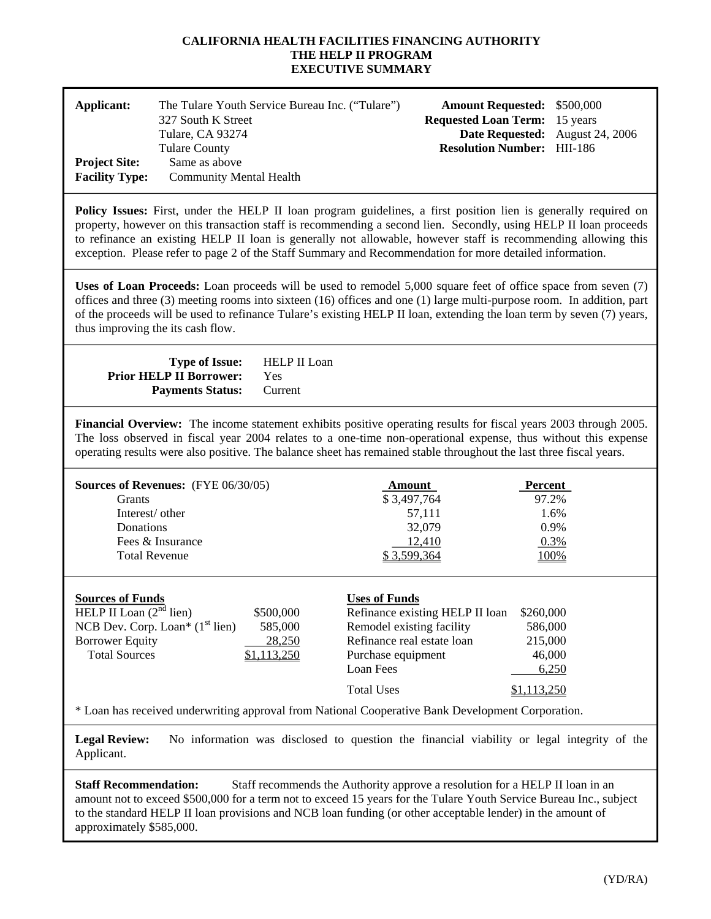#### **CALIFORNIA HEALTH FACILITIES FINANCING AUTHORITY THE HELP II PROGRAM EXECUTIVE SUMMARY**

| Applicant:<br><b>Project Site:</b><br><b>Facility Type:</b> | The Tulare Youth Service Bureau Inc. ("Tulare")<br>327 South K Street<br>Tulare, CA 93274<br><b>Tulare County</b><br>Same as above<br><b>Community Mental Health</b> | <b>Amount Requested: \$500,000</b><br><b>Requested Loan Term:</b> 15 years<br>Date Requested: August 24, 2006<br><b>Resolution Number: HII-186</b> |  |
|-------------------------------------------------------------|----------------------------------------------------------------------------------------------------------------------------------------------------------------------|----------------------------------------------------------------------------------------------------------------------------------------------------|--|
|                                                             | $\blacksquare$                                                                                                                                                       |                                                                                                                                                    |  |

**Policy Issues:** First, under the HELP II loan program guidelines, a first position lien is generally required on property, however on this transaction staff is recommending a second lien. Secondly, using HELP II loan proceeds to refinance an existing HELP II loan is generally not allowable, however staff is recommending allowing this exception. Please refer to page 2 of the Staff Summary and Recommendation for more detailed information.

**Uses of Loan Proceeds:** Loan proceeds will be used to remodel 5,000 square feet of office space from seven (7) offices and three (3) meeting rooms into sixteen (16) offices and one (1) large multi-purpose room. In addition, part of the proceeds will be used to refinance Tulare's existing HELP II loan, extending the loan term by seven (7) years, thus improving the its cash flow.

| <b>Type of Issue:</b>           | HELP II Loan |
|---------------------------------|--------------|
| <b>Prior HELP II Borrower:</b>  | Yes          |
| <b>Payments Status:</b> Current |              |

**Financial Overview:** The income statement exhibits positive operating results for fiscal years 2003 through 2005. The loss observed in fiscal year 2004 relates to a one-time non-operational expense, thus without this expense operating results were also positive. The balance sheet has remained stable throughout the last three fiscal years.

| <b>Sources of Revenues:</b> $(FYE 06/30/05)$ | Amount      | Percent |
|----------------------------------------------|-------------|---------|
| Grants                                       | \$3,497,764 | 97.2%   |
| Interest/ other                              | 57.111      | 1.6%    |
| Donations                                    | 32,079      | $0.9\%$ |
| Fees & Insurance                             | 12.410      | 0.3%    |
| <b>Total Revenue</b>                         | \$3,599,364 | 100%    |
|                                              |             |         |

| <b>Sources of Funds</b>           |             | <b>Uses of Funds</b>            |             |
|-----------------------------------|-------------|---------------------------------|-------------|
| HELP II Loan $(2nd$ lien)         | \$500,000   | Refinance existing HELP II loan | \$260,000   |
| NCB Dev. Corp. Loan* $(1st$ lien) | 585,000     | Remodel existing facility       | 586,000     |
| <b>Borrower Equity</b>            | 28,250      | Refinance real estate loan      | 215,000     |
| <b>Total Sources</b>              | \$1,113,250 | Purchase equipment              | 46,000      |
|                                   |             | Loan Fees                       | 6,250       |
|                                   |             | <b>Total Uses</b>               | \$1,113,250 |

\* Loan has received underwriting approval from National Cooperative Bank Development Corporation.

Legal Review: No information was disclosed to question the financial viability or legal integrity of the Applicant.

**Staff Recommendation:** Staff recommends the Authority approve a resolution for a HELP II loan in an amount not to exceed \$500,000 for a term not to exceed 15 years for the Tulare Youth Service Bureau Inc., subject to the standard HELP II loan provisions and NCB loan funding (or other acceptable lender) in the amount of approximately \$585,000.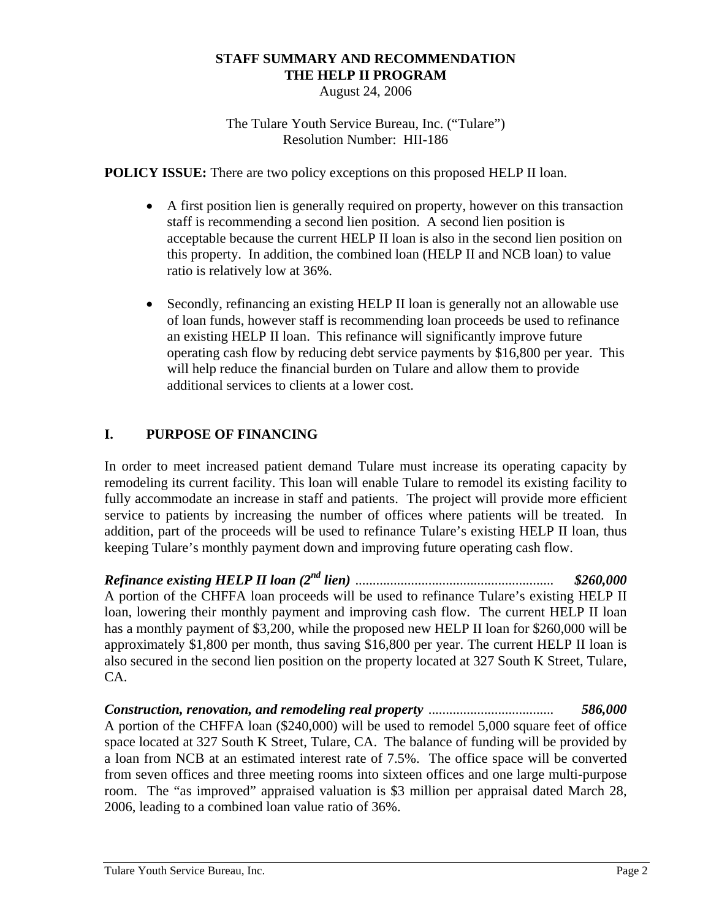# **STAFF SUMMARY AND RECOMMENDATION THE HELP II PROGRAM**

August 24, 2006

The Tulare Youth Service Bureau, Inc. ("Tulare") Resolution Number: HII-186

**POLICY ISSUE:** There are two policy exceptions on this proposed HELP II loan.

- A first position lien is generally required on property, however on this transaction staff is recommending a second lien position. A second lien position is acceptable because the current HELP II loan is also in the second lien position on this property. In addition, the combined loan (HELP II and NCB loan) to value ratio is relatively low at 36%.
- Secondly, refinancing an existing HELP II loan is generally not an allowable use of loan funds, however staff is recommending loan proceeds be used to refinance an existing HELP II loan. This refinance will significantly improve future operating cash flow by reducing debt service payments by \$16,800 per year. This will help reduce the financial burden on Tulare and allow them to provide additional services to clients at a lower cost.

# **I. PURPOSE OF FINANCING**

In order to meet increased patient demand Tulare must increase its operating capacity by remodeling its current facility. This loan will enable Tulare to remodel its existing facility to fully accommodate an increase in staff and patients. The project will provide more efficient service to patients by increasing the number of offices where patients will be treated. In addition, part of the proceeds will be used to refinance Tulare's existing HELP II loan, thus keeping Tulare's monthly payment down and improving future operating cash flow.

*Refinance existing HELP II loan (2nd lien)* ......................................................... *\$260,000*  A portion of the CHFFA loan proceeds will be used to refinance Tulare's existing HELP II loan, lowering their monthly payment and improving cash flow. The current HELP II loan has a monthly payment of \$3,200, while the proposed new HELP II loan for \$260,000 will be approximately \$1,800 per month, thus saving \$16,800 per year. The current HELP II loan is also secured in the second lien position on the property located at 327 South K Street, Tulare, CA.

*Construction, renovation, and remodeling real property* .................................... *586,000*  A portion of the CHFFA loan (\$240,000) will be used to remodel 5,000 square feet of office space located at 327 South K Street, Tulare, CA. The balance of funding will be provided by a loan from NCB at an estimated interest rate of 7.5%. The office space will be converted from seven offices and three meeting rooms into sixteen offices and one large multi-purpose room. The "as improved" appraised valuation is \$3 million per appraisal dated March 28, 2006, leading to a combined loan value ratio of 36%.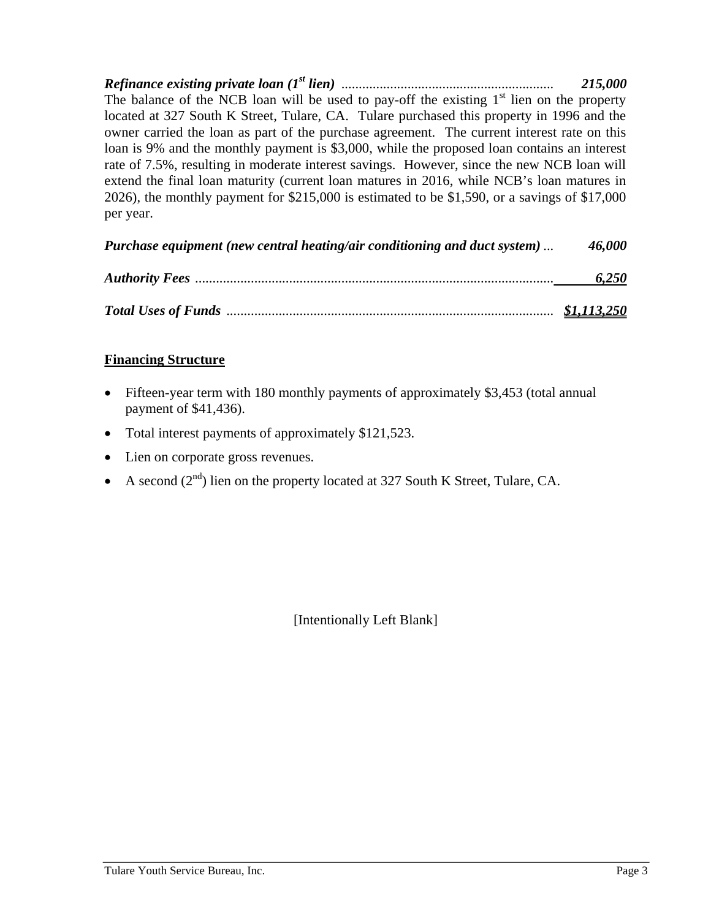*Refinance existing private loan (1st lien)* ............................................................. *215,000*  The balance of the NCB loan will be used to pay-off the existing  $1<sup>st</sup>$  lien on the property located at 327 South K Street, Tulare, CA. Tulare purchased this property in 1996 and the owner carried the loan as part of the purchase agreement. The current interest rate on this loan is 9% and the monthly payment is \$3,000, while the proposed loan contains an interest rate of 7.5%, resulting in moderate interest savings. However, since the new NCB loan will extend the final loan maturity (current loan matures in 2016, while NCB's loan matures in 2026), the monthly payment for \$215,000 is estimated to be \$1,590, or a savings of \$17,000 per year.

| Purchase equipment (new central heating/air conditioning and duct system) | 46,000             |
|---------------------------------------------------------------------------|--------------------|
|                                                                           | 6,250              |
|                                                                           | <u>\$1,113,250</u> |

### **Financing Structure**

- Fifteen-year term with 180 monthly payments of approximately \$3,453 (total annual payment of \$41,436).
- Total interest payments of approximately \$121,523.
- Lien on corporate gross revenues.
- A second  $(2^{nd})$  lien on the property located at 327 South K Street, Tulare, CA.

[Intentionally Left Blank]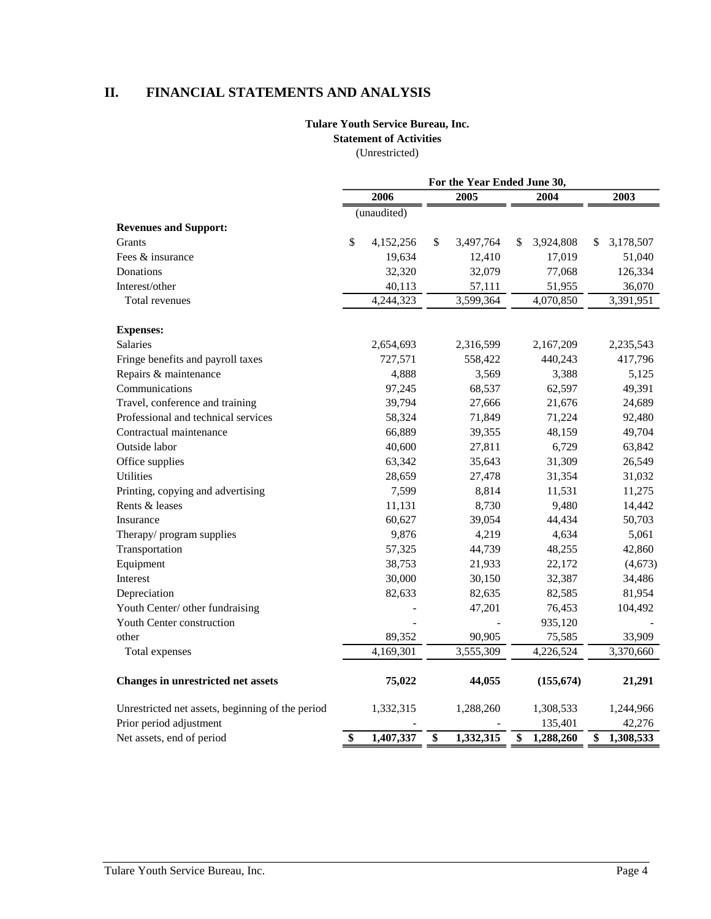# **II. FINANCIAL STATEMENTS AND ANALYSIS**

# **Tulare Youth Service Bureau, Inc.**

**Statement of Activities** 

(Unrestricted)

|                                                  | For the Year Ended June 30, |             |                 |           |    |            |    |           |
|--------------------------------------------------|-----------------------------|-------------|-----------------|-----------|----|------------|----|-----------|
|                                                  |                             | 2006        |                 | 2005      |    | 2004       |    | 2003      |
|                                                  |                             | (unaudited) |                 |           |    |            |    |           |
| <b>Revenues and Support:</b>                     |                             |             |                 |           |    |            |    |           |
| Grants                                           | \$                          | 4,152,256   | \$              | 3,497,764 | \$ | 3,924,808  | S  | 3,178,507 |
| Fees & insurance                                 |                             | 19,634      |                 | 12,410    |    | 17,019     |    | 51,040    |
| Donations                                        |                             | 32,320      |                 | 32,079    |    | 77,068     |    | 126,334   |
| Interest/other                                   |                             | 40,113      |                 | 57,111    |    | 51,955     |    | 36,070    |
| Total revenues                                   |                             | 4,244,323   |                 | 3,599,364 |    | 4,070,850  |    | 3,391,951 |
| <b>Expenses:</b>                                 |                             |             |                 |           |    |            |    |           |
| <b>Salaries</b>                                  |                             | 2,654,693   |                 | 2,316,599 |    | 2,167,209  |    | 2,235,543 |
| Fringe benefits and payroll taxes                |                             | 727,571     |                 | 558,422   |    | 440,243    |    | 417,796   |
| Repairs & maintenance                            |                             | 4,888       |                 | 3,569     |    | 3,388      |    | 5,125     |
| Communications                                   |                             | 97,245      |                 | 68,537    |    | 62,597     |    | 49,391    |
| Travel, conference and training                  |                             | 39,794      |                 | 27,666    |    | 21,676     |    | 24,689    |
| Professional and technical services              |                             | 58,324      |                 | 71,849    |    | 71,224     |    | 92,480    |
| Contractual maintenance                          |                             | 66,889      |                 | 39,355    |    | 48,159     |    | 49,704    |
| Outside labor                                    |                             | 40,600      |                 | 27,811    |    | 6,729      |    | 63,842    |
| Office supplies                                  |                             | 63,342      |                 | 35,643    |    | 31,309     |    | 26,549    |
| <b>Utilities</b>                                 |                             | 28,659      |                 | 27,478    |    | 31,354     |    | 31,032    |
| Printing, copying and advertising                |                             | 7,599       |                 | 8,814     |    | 11,531     |    | 11,275    |
| Rents & leases                                   |                             | 11,131      |                 | 8,730     |    | 9,480      |    | 14,442    |
| Insurance                                        |                             | 60,627      |                 | 39,054    |    | 44,434     |    | 50,703    |
| Therapy/program supplies                         |                             | 9,876       |                 | 4,219     |    | 4,634      |    | 5,061     |
| Transportation                                   |                             | 57,325      |                 | 44,739    |    | 48,255     |    | 42,860    |
| Equipment                                        |                             | 38,753      |                 | 21,933    |    | 22,172     |    | (4,673)   |
| Interest                                         |                             | 30,000      |                 | 30,150    |    | 32,387     |    | 34,486    |
| Depreciation                                     |                             | 82,633      |                 | 82,635    |    | 82,585     |    | 81,954    |
| Youth Center/ other fundraising                  |                             |             |                 | 47,201    |    | 76,453     |    | 104,492   |
| Youth Center construction                        |                             |             |                 |           |    | 935,120    |    |           |
| other                                            |                             | 89,352      |                 | 90,905    |    | 75,585     |    | 33,909    |
| Total expenses                                   |                             | 4,169,301   |                 | 3,555,309 |    | 4,226,524  |    | 3,370,660 |
| <b>Changes in unrestricted net assets</b>        |                             | 75,022      |                 | 44,055    |    | (155, 674) |    | 21,291    |
| Unrestricted net assets, beginning of the period |                             | 1,332,315   |                 | 1,288,260 |    | 1,308,533  |    | 1,244,966 |
| Prior period adjustment                          |                             |             |                 |           |    | 135,401    |    | 42,276    |
| Net assets, end of period                        | \$                          | 1,407,337   | $\overline{\$}$ | 1,332,315 | \$ | 1,288,260  | \$ | 1,308,533 |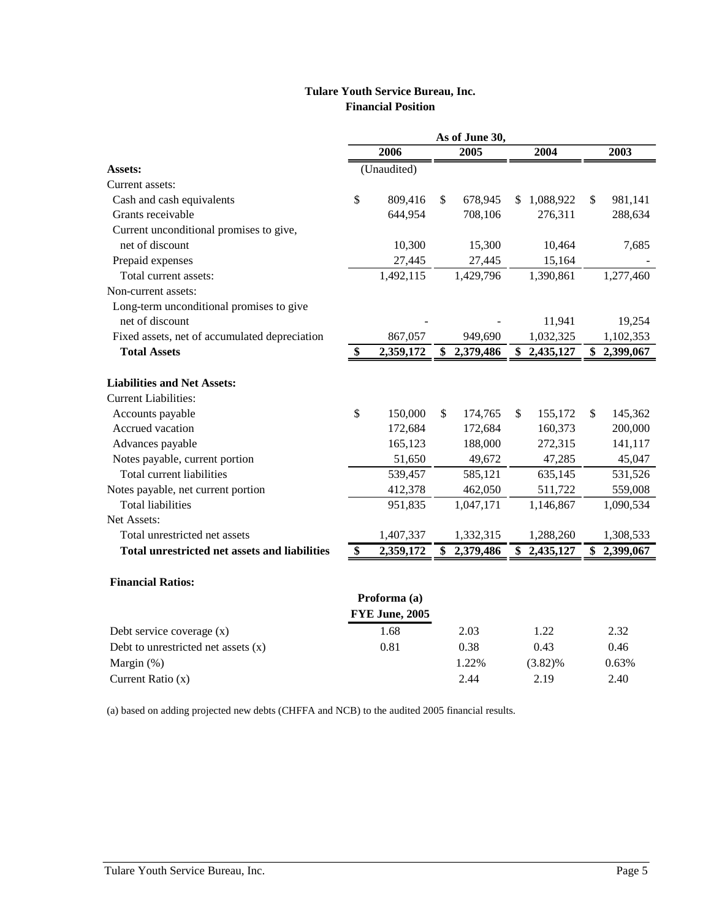#### **Tulare Youth Service Bureau, Inc. Financial Position**

|                                               |               |                       | As of June 30,  |                 |                 |
|-----------------------------------------------|---------------|-----------------------|-----------------|-----------------|-----------------|
|                                               |               | 2006                  | 2005            | 2004            | 2003            |
| Assets:                                       |               | (Unaudited)           |                 |                 |                 |
| Current assets:                               |               |                       |                 |                 |                 |
| Cash and cash equivalents                     | \$            | 809,416               | \$<br>678,945   | \$<br>1,088,922 | \$<br>981,141   |
| Grants receivable                             |               | 644,954               | 708,106         | 276,311         | 288,634         |
| Current unconditional promises to give,       |               |                       |                 |                 |                 |
| net of discount                               |               | 10,300                | 15,300          | 10,464          | 7,685           |
| Prepaid expenses                              |               | 27,445                | 27,445          | 15,164          |                 |
| Total current assets:                         |               | 1,492,115             | 1,429,796       | 1,390,861       | 1,277,460       |
| Non-current assets:                           |               |                       |                 |                 |                 |
| Long-term unconditional promises to give      |               |                       |                 |                 |                 |
| net of discount                               |               |                       |                 | 11,941          | 19,254          |
| Fixed assets, net of accumulated depreciation |               | 867,057               | 949,690         | 1,032,325       | 1,102,353       |
| <b>Total Assets</b>                           | \$            | 2,359,172             | \$2,379,486     | \$<br>2,435,127 | \$2,399,067     |
| <b>Liabilities and Net Assets:</b>            |               |                       |                 |                 |                 |
| <b>Current Liabilities:</b>                   |               |                       |                 |                 |                 |
| Accounts payable                              | $\mathcal{S}$ | 150,000               | \$<br>174,765   | \$<br>155,172   | \$<br>145,362   |
| Accrued vacation                              |               | 172,684               | 172,684         | 160,373         | 200,000         |
| Advances payable                              |               | 165,123               | 188,000         | 272,315         | 141,117         |
| Notes payable, current portion                |               | 51,650                | 49,672          | 47,285          | 45,047          |
| <b>Total current liabilities</b>              |               | 539,457               | 585,121         | 635,145         | 531,526         |
| Notes payable, net current portion            |               | 412,378               | 462,050         | 511,722         | 559,008         |
| <b>Total liabilities</b>                      |               | 951,835               | 1,047,171       | 1,146,867       | 1,090,534       |
| Net Assets:                                   |               |                       |                 |                 |                 |
| Total unrestricted net assets                 |               | 1,407,337             | 1,332,315       | 1,288,260       | 1,308,533       |
| Total unrestricted net assets and liabilities | \$            | 2,359,172             | \$<br>2,379,486 | \$2,435,127     | \$<br>2,399,067 |
|                                               |               |                       |                 |                 |                 |
| <b>Financial Ratios:</b>                      |               |                       |                 |                 |                 |
|                                               |               | Proforma (a)          |                 |                 |                 |
|                                               |               | <b>FYE June, 2005</b> |                 |                 |                 |
| Debt service coverage (x)                     |               | 1.68                  | 2.03            | 1.22            | 2.32            |
| Debt to unrestricted net assets $(x)$         |               | 0.81                  | 0.38            | 0.43            | 0.46            |

Margin (%) 1.22% (3.82)% 0.63% Current Ratio (x) 2.44 2.19 2.40

(a) based on adding projected new debts (CHFFA and NCB) to the audited 2005 financial results.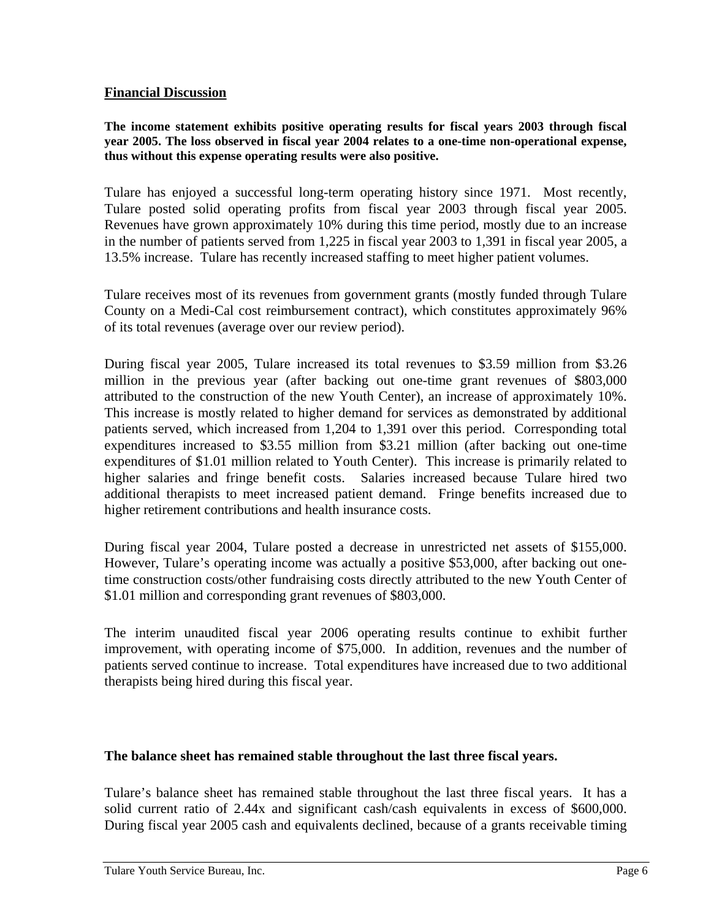#### **Financial Discussion**

**The income statement exhibits positive operating results for fiscal years 2003 through fiscal year 2005. The loss observed in fiscal year 2004 relates to a one-time non-operational expense, thus without this expense operating results were also positive.** 

Tulare has enjoyed a successful long-term operating history since 1971. Most recently, Tulare posted solid operating profits from fiscal year 2003 through fiscal year 2005. Revenues have grown approximately 10% during this time period, mostly due to an increase in the number of patients served from 1,225 in fiscal year 2003 to 1,391 in fiscal year 2005, a 13.5% increase. Tulare has recently increased staffing to meet higher patient volumes.

Tulare receives most of its revenues from government grants (mostly funded through Tulare County on a Medi-Cal cost reimbursement contract), which constitutes approximately 96% of its total revenues (average over our review period).

During fiscal year 2005, Tulare increased its total revenues to \$3.59 million from \$3.26 million in the previous year (after backing out one-time grant revenues of \$803,000 attributed to the construction of the new Youth Center), an increase of approximately 10%. This increase is mostly related to higher demand for services as demonstrated by additional patients served, which increased from 1,204 to 1,391 over this period. Corresponding total expenditures increased to \$3.55 million from \$3.21 million (after backing out one-time expenditures of \$1.01 million related to Youth Center). This increase is primarily related to higher salaries and fringe benefit costs. Salaries increased because Tulare hired two additional therapists to meet increased patient demand. Fringe benefits increased due to higher retirement contributions and health insurance costs.

During fiscal year 2004, Tulare posted a decrease in unrestricted net assets of \$155,000. However, Tulare's operating income was actually a positive \$53,000, after backing out onetime construction costs/other fundraising costs directly attributed to the new Youth Center of \$1.01 million and corresponding grant revenues of \$803,000.

The interim unaudited fiscal year 2006 operating results continue to exhibit further improvement, with operating income of \$75,000. In addition, revenues and the number of patients served continue to increase. Total expenditures have increased due to two additional therapists being hired during this fiscal year.

#### **The balance sheet has remained stable throughout the last three fiscal years.**

Tulare's balance sheet has remained stable throughout the last three fiscal years. It has a solid current ratio of 2.44x and significant cash/cash equivalents in excess of \$600,000. During fiscal year 2005 cash and equivalents declined, because of a grants receivable timing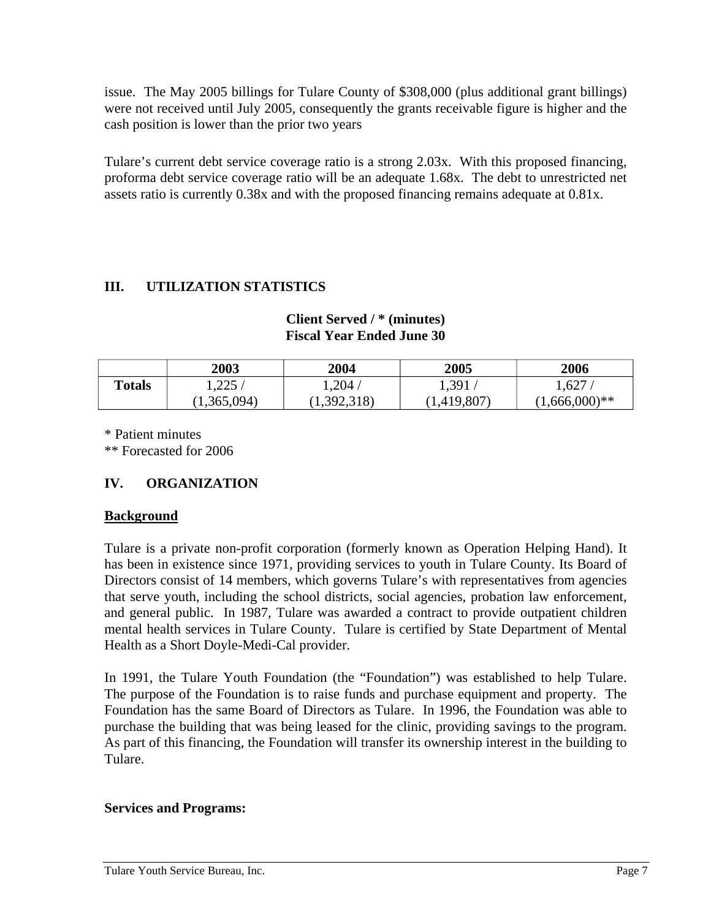issue. The May 2005 billings for Tulare County of \$308,000 (plus additional grant billings) were not received until July 2005, consequently the grants receivable figure is higher and the cash position is lower than the prior two years

Tulare's current debt service coverage ratio is a strong 2.03x. With this proposed financing, proforma debt service coverage ratio will be an adequate 1.68x. The debt to unrestricted net assets ratio is currently 0.38x and with the proposed financing remains adequate at 0.81x.

# **III. UTILIZATION STATISTICS**

|               | 2003        | 2004        | 2005        | 2006             |
|---------------|-------------|-------------|-------------|------------------|
| <b>Totals</b> | 1,225/      | $1{,}204$ / | 1,391       | 1,627.           |
|               | (1,365,094) | (1,392,318) | (1,419,807) | $(1,666,000)$ ** |

**Client Served / \* (minutes) Fiscal Year Ended June 30** 

\* Patient minutes

\*\* Forecasted for 2006

# **IV. ORGANIZATION**

#### **Background**

Tulare is a private non-profit corporation (formerly known as Operation Helping Hand). It has been in existence since 1971, providing services to youth in Tulare County. Its Board of Directors consist of 14 members, which governs Tulare's with representatives from agencies that serve youth, including the school districts, social agencies, probation law enforcement, and general public. In 1987, Tulare was awarded a contract to provide outpatient children mental health services in Tulare County. Tulare is certified by State Department of Mental Health as a Short Doyle-Medi-Cal provider.

In 1991, the Tulare Youth Foundation (the "Foundation") was established to help Tulare. The purpose of the Foundation is to raise funds and purchase equipment and property. The Foundation has the same Board of Directors as Tulare. In 1996, the Foundation was able to purchase the building that was being leased for the clinic, providing savings to the program. As part of this financing, the Foundation will transfer its ownership interest in the building to Tulare.

#### **Services and Programs:**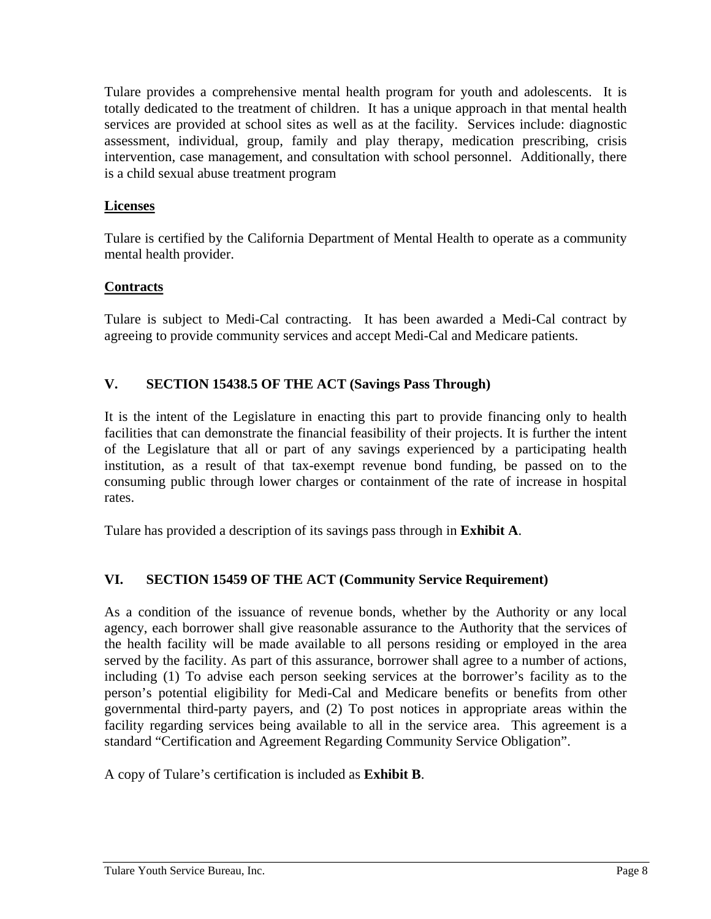Tulare provides a comprehensive mental health program for youth and adolescents. It is totally dedicated to the treatment of children. It has a unique approach in that mental health services are provided at school sites as well as at the facility. Services include: diagnostic assessment, individual, group, family and play therapy, medication prescribing, crisis intervention, case management, and consultation with school personnel. Additionally, there is a child sexual abuse treatment program

#### **Licenses**

Tulare is certified by the California Department of Mental Health to operate as a community mental health provider.

# **Contracts**

Tulare is subject to Medi-Cal contracting. It has been awarded a Medi-Cal contract by agreeing to provide community services and accept Medi-Cal and Medicare patients.

### **V. SECTION 15438.5 OF THE ACT (Savings Pass Through)**

It is the intent of the Legislature in enacting this part to provide financing only to health facilities that can demonstrate the financial feasibility of their projects. It is further the intent of the Legislature that all or part of any savings experienced by a participating health institution, as a result of that tax-exempt revenue bond funding, be passed on to the consuming public through lower charges or containment of the rate of increase in hospital rates.

Tulare has provided a description of its savings pass through in **Exhibit A**.

# **VI. SECTION 15459 OF THE ACT (Community Service Requirement)**

As a condition of the issuance of revenue bonds, whether by the Authority or any local agency, each borrower shall give reasonable assurance to the Authority that the services of the health facility will be made available to all persons residing or employed in the area served by the facility. As part of this assurance, borrower shall agree to a number of actions, including (1) To advise each person seeking services at the borrower's facility as to the person's potential eligibility for Medi-Cal and Medicare benefits or benefits from other governmental third-party payers, and (2) To post notices in appropriate areas within the facility regarding services being available to all in the service area. This agreement is a standard "Certification and Agreement Regarding Community Service Obligation".

A copy of Tulare's certification is included as **Exhibit B**.